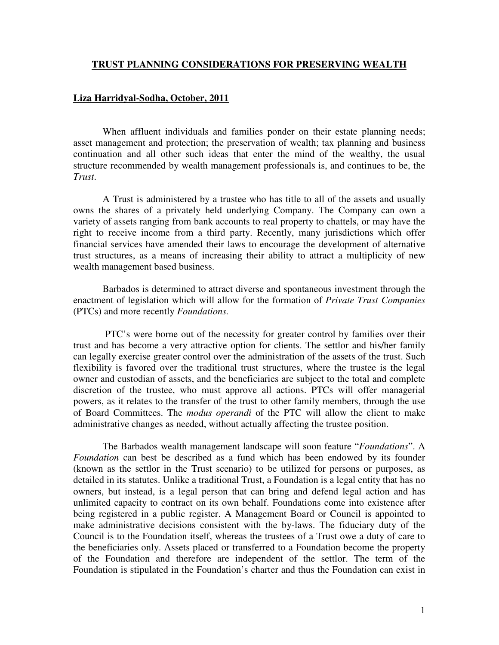## **TRUST PLANNING CONSIDERATIONS FOR PRESERVING WEALTH**

## **Liza Harridyal-Sodha, October, 2011**

When affluent individuals and families ponder on their estate planning needs; asset management and protection; the preservation of wealth; tax planning and business continuation and all other such ideas that enter the mind of the wealthy, the usual structure recommended by wealth management professionals is, and continues to be, the *Trust*.

A Trust is administered by a trustee who has title to all of the assets and usually owns the shares of a privately held underlying Company. The Company can own a variety of assets ranging from bank accounts to real property to chattels, or may have the right to receive income from a third party. Recently, many jurisdictions which offer financial services have amended their laws to encourage the development of alternative trust structures, as a means of increasing their ability to attract a multiplicity of new wealth management based business.

Barbados is determined to attract diverse and spontaneous investment through the enactment of legislation which will allow for the formation of *Private Trust Companies* (PTCs) and more recently *Foundations.* 

 PTC's were borne out of the necessity for greater control by families over their trust and has become a very attractive option for clients. The settlor and his/her family can legally exercise greater control over the administration of the assets of the trust. Such flexibility is favored over the traditional trust structures, where the trustee is the legal owner and custodian of assets, and the beneficiaries are subject to the total and complete discretion of the trustee, who must approve all actions. PTCs will offer managerial powers, as it relates to the transfer of the trust to other family members, through the use of Board Committees. The *modus operandi* of the PTC will allow the client to make administrative changes as needed, without actually affecting the trustee position.

The Barbados wealth management landscape will soon feature "*Foundations*". A *Foundation* can best be described as a fund which has been endowed by its founder (known as the settlor in the Trust scenario) to be utilized for persons or purposes, as detailed in its statutes. Unlike a traditional Trust, a Foundation is a legal entity that has no owners, but instead, is a legal person that can bring and defend legal action and has unlimited capacity to contract on its own behalf. Foundations come into existence after being registered in a public register. A Management Board or Council is appointed to make administrative decisions consistent with the by-laws. The fiduciary duty of the Council is to the Foundation itself, whereas the trustees of a Trust owe a duty of care to the beneficiaries only. Assets placed or transferred to a Foundation become the property of the Foundation and therefore are independent of the settlor. The term of the Foundation is stipulated in the Foundation's charter and thus the Foundation can exist in